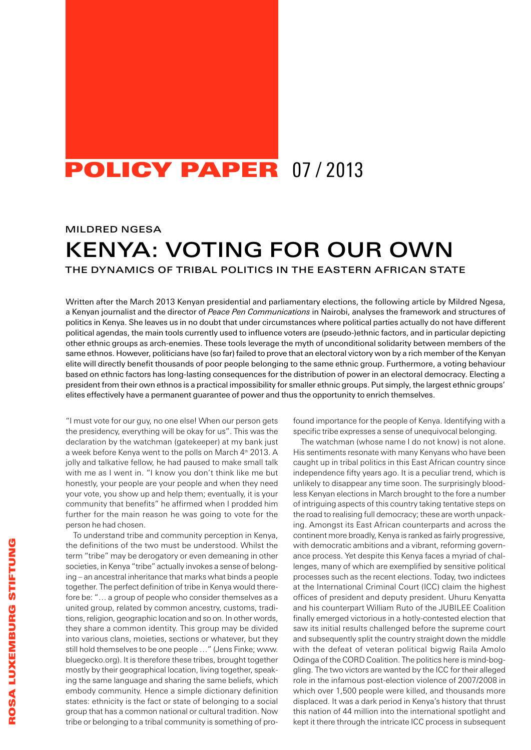## POLICY PAPER 07/2013

## Mildred Ngesa

# **KENYA: VOTING FOR OUR OWN**

The dynamics of tribal politics IN THE EASTERN AFRICAN STATE

Written after the March 2013 Kenyan presidential and parliamentary elections, the following article by Mildred Ngesa, a Kenyan journalist and the director of *Peace Pen Communications* in Nairobi, analyses the framework and structures of politics in Kenya. She leaves us in no doubt that under circumstances where political parties actually do not have different political agendas, the main tools currently used to influence voters are (pseudo-)ethnic factors, and in particular depicting other ethnic groups as arch-enemies. These tools leverage the myth of unconditional solidarity between members of the same ethnos. However, politicians have (so far) failed to prove that an electoral victory won by a rich member of the Kenyan elite will directly benefit thousands of poor people belonging to the same ethnic group. Furthermore, a voting behaviour based on ethnic factors has long-lasting consequences for the distribution of power in an electoral democracy. Electing a president from their own ethnos is a practical impossibility for smaller ethnic groups. Put simply, the largest ethnic groups' elites effectively have a permanent guarantee of power and thus the opportunity to enrich themselves.

"I must vote for our guy, no one else! When our person gets the presidency, everything will be okay for us". This was the declaration by the watchman (gatekeeper) at my bank just a week before Kenya went to the polls on March 4<sup>th</sup> 2013. A jolly and talkative fellow, he had paused to make small talk with me as I went in. "I know you don't think like me but honestly, your people are your people and when they need your vote, you show up and help them; eventually, it is your community that benefits" he affirmed when I prodded him further for the main reason he was going to vote for the person he had chosen.

To understand tribe and community perception in Kenya, the definitions of the two must be understood. Whilst the term "tribe" may be derogatory or even demeaning in other societies, in Kenya "tribe" actually invokes a sense of belonging – an ancestral inheritance that marks what binds a people together. The perfect definition of tribe in Kenya would therefore be: "… a group of people who consider themselves as a united group, related by common ancestry, customs, traditions, religion, geographic location and so on. In other words, they share a common identity. This group may be divided into various clans, moieties, sections or whatever, but they still hold themselves to be one people …" (Jens Finke; www. bluegecko.org). It is therefore these tribes, brought together mostly by their geographical location, living together, speaking the same language and sharing the same beliefs, which embody community. Hence a simple dictionary definition states: ethnicity is the fact or state of belonging to a social group that has a common national or cultural tradition. Now tribe or belonging to a tribal community is something of profound importance for the people of Kenya. Identifying with a specific tribe expresses a sense of unequivocal belonging.

The watchman (whose name I do not know) is not alone. His sentiments resonate with many Kenyans who have been caught up in tribal politics in this East African country since independence fifty years ago. It is a peculiar trend, which is unlikely to disappear any time soon. The surprisingly bloodless Kenyan elections in March brought to the fore a number of intriguing aspects of this country taking tentative steps on the road to realising full democracy; these are worth unpacking. Amongst its East African counterparts and across the continent more broadly, Kenya is ranked as fairly progressive, with democratic ambitions and a vibrant, reforming governance process. Yet despite this Kenya faces a myriad of challenges, many of which are exemplified by sensitive political processes such as the recent elections. Today, two indictees at the International Criminal Court (ICC) claim the highest offices of president and deputy president. Uhuru Kenyatta and his counterpart William Ruto of the JUBILEE Coalition finally emerged victorious in a hotly-contested election that saw its initial results challenged before the supreme court and subsequently split the country straight down the middle with the defeat of veteran political bigwig Raila Amolo Odinga of the CORD Coalition. The politics here is mind-boggling. The two victors are wanted by the ICC for their alleged role in the infamous post-election violence of 2007/2008 in which over 1,500 people were killed, and thousands more displaced. It was a dark period in Kenya's history that thrust this nation of 44 million into the international spotlight and kept it there through the intricate ICC process in subsequent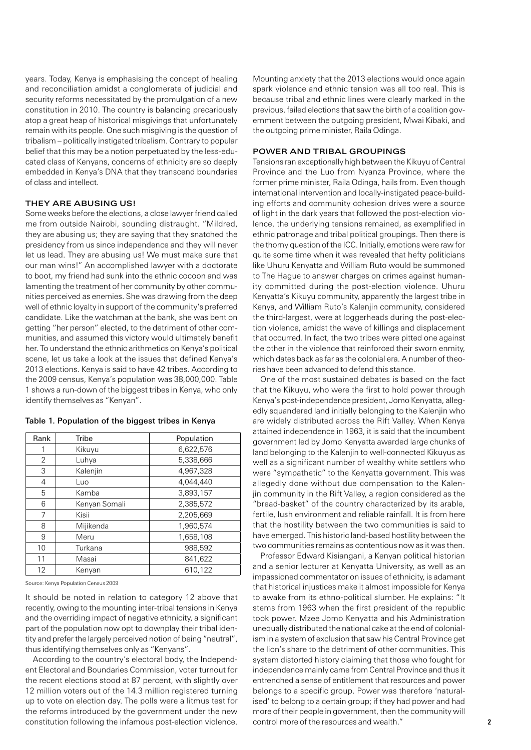years. Today, Kenya is emphasising the concept of healing and reconciliation amidst a conglomerate of judicial and security reforms necessitated by the promulgation of a new constitution in 2010. The country is balancing precariously atop a great heap of historical misgivings that unfortunately remain with its people. One such misgiving is the question of tribalism – politically instigated tribalism. Contrary to popular belief that this may be a notion perpetuated by the less-educated class of Kenyans, concerns of ethnicity are so deeply embedded in Kenya's DNA that they transcend boundaries of class and intellect.

## They are abusing us!

Some weeks before the elections, a close lawyer friend called me from outside Nairobi, sounding distraught. "Mildred, they are abusing us; they are saying that they snatched the presidency from us since independence and they will never let us lead. They are abusing us! We must make sure that our man wins!" An accomplished lawyer with a doctorate to boot, my friend had sunk into the ethnic cocoon and was lamenting the treatment of her community by other communities perceived as enemies. She was drawing from the deep well of ethnic loyalty in support of the community's preferred candidate. Like the watchman at the bank, she was bent on getting "her person" elected, to the detriment of other communities, and assumed this victory would ultimately benefit her. To understand the ethnic arithmetics on Kenya's political scene, let us take a look at the issues that defined Kenya's 2013 elections. Kenya is said to have 42 tribes. According to the 2009 census, Kenya's population was 38,000,000. Table 1 shows a run-down of the biggest tribes in Kenya, who only identify themselves as "Kenyan".

| Rank           | Tribe         | Population |
|----------------|---------------|------------|
|                | Kikuyu        | 6.622.576  |
| $\overline{2}$ | Luhya         | 5,338,666  |
| 3              | Kalenjin      | 4.967.328  |
| 4              | Luo           | 4.044.440  |
| 5              | Kamba         | 3,893,157  |
| 6              | Kenyan Somali | 2,385,572  |
| 7              | Kisii         | 2.205.669  |
| 8              | Mijikenda     | 1.960.574  |
| 9              | Meru          | 1,658,108  |
| 10             | Turkana       | 988.592    |
| 11             | Masai         | 841.622    |
| 12             | Kenyan        | 610.122    |

#### Table 1. Population of the biggest tribes in Kenya

Source: Kenya Population Census 2009

It should be noted in relation to category 12 above that recently, owing to the mounting inter-tribal tensions in Kenya and the overriding impact of negative ethnicity, a significant part of the population now opt to downplay their tribal identity and prefer the largely perceived notion of being "neutral", thus identifying themselves only as "Kenyans".

According to the country's electoral body, the Independent Electoral and Boundaries Commission, voter turnout for the recent elections stood at 87 percent, with slightly over 12 million voters out of the 14.3 million registered turning up to vote on election day. The polls were a litmus test for the reforms introduced by the government under the new constitution following the infamous post-election violence. Mounting anxiety that the 2013 elections would once again spark violence and ethnic tension was all too real. This is because tribal and ethnic lines were clearly marked in the previous, failed elections that saw the birth of a coalition government between the outgoing president, Mwai Kibaki, and the outgoing prime minister, Raila Odinga.

## Power and tribal groupings

Tensions ran exceptionally high between the Kikuyu of Central Province and the Luo from Nyanza Province, where the former prime minister, Raila Odinga, hails from. Even though international intervention and locally-instigated peace-building efforts and community cohesion drives were a source of light in the dark years that followed the post-election violence, the underlying tensions remained, as exemplified in ethnic patronage and tribal political groupings. Then there is the thorny question of the ICC. Initially, emotions were raw for quite some time when it was revealed that hefty politicians like Uhuru Kenyatta and William Ruto would be summoned to The Hague to answer charges on crimes against humanity committed during the post-election violence. Uhuru Kenyatta's Kikuyu community, apparently the largest tribe in Kenya, and William Ruto's Kalenjin community, considered the third-largest, were at loggerheads during the post-election violence, amidst the wave of killings and displacement that occurred. In fact, the two tribes were pitted one against the other in the violence that reinforced their sworn enmity, which dates back as far as the colonial era. A number of theories have been advanced to defend this stance.

One of the most sustained debates is based on the fact that the Kikuyu, who were the first to hold power through Kenya's post-independence president, Jomo Kenyatta, allegedly squandered land initially belonging to the Kalenjin who are widely distributed across the Rift Valley. When Kenya attained independence in 1963, it is said that the incumbent government led by Jomo Kenyatta awarded large chunks of land belonging to the Kalenjin to well-connected Kikuyus as well as a significant number of wealthy white settlers who were "sympathetic" to the Kenyatta government. This was allegedly done without due compensation to the Kalenjin community in the Rift Valley, a region considered as the "bread-basket" of the country characterized by its arable, fertile, lush environment and reliable rainfall. It is from here that the hostility between the two communities is said to have emerged. This historic land-based hostility between the two communities remains as contentious now as it was then.

Professor Edward Kisiangani, a Kenyan political historian and a senior lecturer at Kenyatta University, as well as an impassioned commentator on issues of ethnicity, is adamant that historical injustices make it almost impossible for Kenya to awake from its ethno-political slumber. He explains: "It stems from 1963 when the first president of the republic took power. Mzee Jomo Kenyatta and his Administration unequally distributed the national cake at the end of colonialism in a system of exclusion that saw his Central Province get the lion's share to the detriment of other communities. This system distorted history claiming that those who fought for independence mainly came from Central Province and thus it entrenched a sense of entitlement that resources and power belongs to a specific group. Power was therefore 'naturalised' to belong to a certain group; if they had power and had more of their people in government, then the community will control more of the resources and wealth."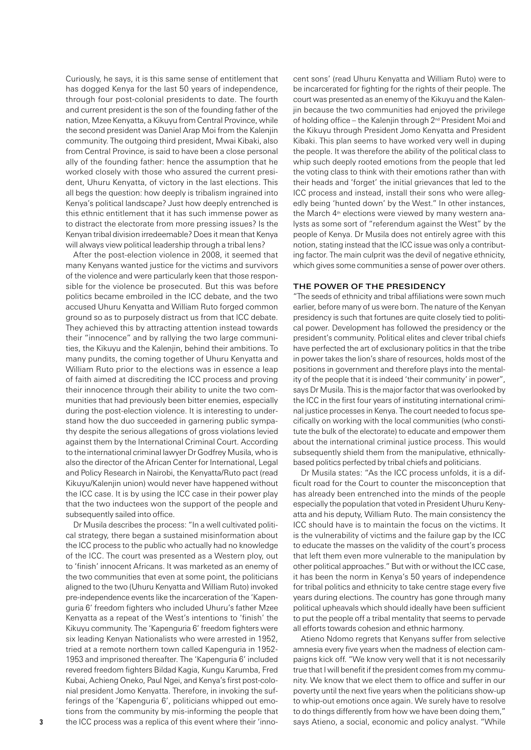Curiously, he says, it is this same sense of entitlement that has dogged Kenya for the last 50 years of independence, through four post-colonial presidents to date. The fourth and current president is the son of the founding father of the nation, Mzee Kenyatta, a Kikuyu from Central Province, while the second president was Daniel Arap Moi from the Kalenjin community. The outgoing third president, Mwai Kibaki, also from Central Province, is said to have been a close personal ally of the founding father: hence the assumption that he worked closely with those who assured the current president, Uhuru Kenyatta, of victory in the last elections. This all begs the question: how deeply is tribalism ingrained into Kenya's political landscape? Just how deeply entrenched is this ethnic entitlement that it has such immense power as to distract the electorate from more pressing issues? Is the Kenyan tribal division irredeemable? Does it mean that Kenya will always view political leadership through a tribal lens?

After the post-election violence in 2008, it seemed that many Kenyans wanted justice for the victims and survivors of the violence and were particularly keen that those responsible for the violence be prosecuted. But this was before politics became embroiled in the ICC debate, and the two accused Uhuru Kenyatta and William Ruto forged common ground so as to purposely distract us from that ICC debate. They achieved this by attracting attention instead towards their "innocence" and by rallying the two large communities, the Kikuyu and the Kalenjin, behind their ambitions. To many pundits, the coming together of Uhuru Kenyatta and William Ruto prior to the elections was in essence a leap of faith aimed at discrediting the ICC process and proving their innocence through their ability to unite the two communities that had previously been bitter enemies, especially during the post-election violence. It is interesting to understand how the duo succeeded in garnering public sympathy despite the serious allegations of gross violations levied against them by the International Criminal Court. According to the international criminal lawyer Dr Godfrey Musila, who is also the director of the African Center for International, Legal and Policy Research in Nairobi, the Kenyatta/Ruto pact (read Kikuyu/Kalenjin union) would never have happened without the ICC case. It is by using the ICC case in their power play that the two inductees won the support of the people and subsequently sailed into office.

Dr Musila describes the process: "In a well cultivated political strategy, there began a sustained misinformation about the ICC process to the public who actually had no knowledge of the ICC. The court was presented as a Western ploy, out to 'finish' innocent Africans. It was marketed as an enemy of the two communities that even at some point, the politicians aligned to the two (Uhuru Kenyatta and William Ruto) invoked pre-independence events like the incarceration of the 'Kapenguria 6' freedom fighters who included Uhuru's father Mzee Kenyatta as a repeat of the West's intentions to 'finish' the Kikuyu community. The 'Kapenguria 6' freedom fighters were six leading Kenyan Nationalists who were arrested in 1952, tried at a remote northern town called Kapenguria in 1952- 1953 and imprisoned thereafter. The 'Kapenguria 6' included revered freedom fighters Bildad Kagia, Kungu Karumba, Fred Kubai, Achieng Oneko, Paul Ngei, and Kenya's first post-colonial president Jomo Kenyatta. Therefore, in invoking the sufferings of the 'Kapenguria 6', politicians whipped out emotions from the community by mis-informing the people that the ICC process was a replica of this event where their 'inno-

cent sons' (read Uhuru Kenyatta and William Ruto) were to be incarcerated for fighting for the rights of their people. The court was presented as an enemy of the Kikuyu and the Kalenjin because the two communities had enjoyed the privilege of holding office – the Kalenjin through 2nd President Moi and the Kikuyu through President Jomo Kenyatta and President Kibaki. This plan seems to have worked very well in duping the people. It was therefore the ability of the political class to whip such deeply rooted emotions from the people that led the voting class to think with their emotions rather than with their heads and 'forget' the initial grievances that led to the ICC process and instead, install their sons who were allegedly being 'hunted down' by the West." In other instances, the March 4<sup>th</sup> elections were viewed by many western analysts as some sort of "referendum against the West" by the people of Kenya. Dr Musila does not entirely agree with this notion, stating instead that the ICC issue was only a contributing factor. The main culprit was the devil of negative ethnicity, which gives some communities a sense of power over others.

#### The power of the presidency

"The seeds of ethnicity and tribal affiliations were sown much earlier, before many of us were born. The nature of the Kenyan presidency is such that fortunes are quite closely tied to political power. Development has followed the presidency or the president's community. Political elites and clever tribal chiefs have perfected the art of exclusionary politics in that the tribe in power takes the lion's share of resources, holds most of the positions in government and therefore plays into the mentality of the people that it is indeed 'their community' in power", says Dr Musila. This is the major factor that was overlooked by the ICC in the first four years of instituting international criminal justice processes in Kenya. The court needed to focus specifically on working with the local communities (who constitute the bulk of the electorate) to educate and empower them about the international criminal justice process. This would subsequently shield them from the manipulative, ethnicallybased politics perfected by tribal chiefs and politicians.

Dr Musila states: "As the ICC process unfolds, it is a difficult road for the Court to counter the misconception that has already been entrenched into the minds of the people especially the population that voted in President Uhuru Kenyatta and his deputy, William Ruto. The main consistency the ICC should have is to maintain the focus on the victims. It is the vulnerability of victims and the failure gap by the ICC to educate the masses on the validity of the court's process that left them even more vulnerable to the manipulation by other political approaches." But with or without the ICC case, it has been the norm in Kenya's 50 years of independence for tribal politics and ethnicity to take centre stage every five years during elections. The country has gone through many political upheavals which should ideally have been sufficient to put the people off a tribal mentality that seems to pervade all efforts towards cohesion and ethnic harmony.

Atieno Ndomo regrets that Kenyans suffer from selective amnesia every five years when the madness of election campaigns kick off. "We know very well that it is not necessarily true that I will benefit if the president comes from my community. We know that we elect them to office and suffer in our poverty until the next five years when the politicians show-up to whip-out emotions once again. We surely have to resolve to do things differently from how we have been doing them," says Atieno, a social, economic and policy analyst. "While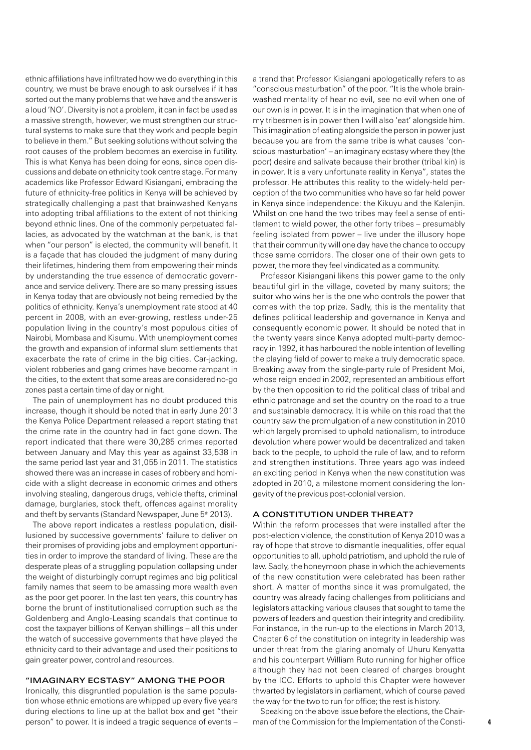ethnic affiliations have infiltrated how we do everything in this country, we must be brave enough to ask ourselves if it has sorted out the many problems that we have and the answer is a loud 'NO'. Diversity is not a problem, it can in fact be used as a massive strength, however, we must strengthen our structural systems to make sure that they work and people begin to believe in them." But seeking solutions without solving the root causes of the problem becomes an exercise in futility. This is what Kenya has been doing for eons, since open discussions and debate on ethnicity took centre stage. For many academics like Professor Edward Kisiangani, embracing the future of ethnicity-free politics in Kenya will be achieved by strategically challenging a past that brainwashed Kenyans into adopting tribal affiliations to the extent of not thinking beyond ethnic lines. One of the commonly perpetuated fallacies, as advocated by the watchman at the bank, is that when "our person" is elected, the community will benefit. It is a façade that has clouded the judgment of many during their lifetimes, hindering them from empowering their minds by understanding the true essence of democratic governance and service delivery. There are so many pressing issues in Kenya today that are obviously not being remedied by the politics of ethnicity. Kenya's unemployment rate stood at 40 percent in 2008, with an ever-growing, restless under-25 population living in the country's most populous cities of Nairobi, Mombasa and Kisumu. With unemployment comes the growth and expansion of informal slum settlements that exacerbate the rate of crime in the big cities. Car-jacking, violent robberies and gang crimes have become rampant in the cities, to the extent that some areas are considered no-go zones past a certain time of day or night.

The pain of unemployment has no doubt produced this increase, though it should be noted that in early June 2013 the Kenya Police Department released a report stating that the crime rate in the country had in fact gone down. The report indicated that there were 30,285 crimes reported between January and May this year as against 33,538 in the same period last year and 31,055 in 2011. The statistics showed there was an increase in cases of robbery and homicide with a slight decrease in economic crimes and others involving stealing, dangerous drugs, vehicle thefts, criminal damage, burglaries, stock theft, offences against morality and theft by servants (Standard Newspaper, June 5<sup>th</sup> 2013).

The above report indicates a restless population, disillusioned by successive governments' failure to deliver on their promises of providing jobs and employment opportunities in order to improve the standard of living. These are the desperate pleas of a struggling population collapsing under the weight of disturbingly corrupt regimes and big political family names that seem to be amassing more wealth even as the poor get poorer. In the last ten years, this country has borne the brunt of institutionalised corruption such as the Goldenberg and Anglo-Leasing scandals that continue to cost the taxpayer billions of Kenyan shillings – all this under the watch of successive governments that have played the ethnicity card to their advantage and used their positions to gain greater power, control and resources.

### "Imaginary ecstasy" among the poor

Ironically, this disgruntled population is the same population whose ethnic emotions are whipped up every five years during elections to line up at the ballot box and get "their person" to power. It is indeed a tragic sequence of events –

a trend that Professor Kisiangani apologetically refers to as "conscious masturbation" of the poor. "It is the whole brainwashed mentality of hear no evil, see no evil when one of our own is in power. It is in the imagination that when one of my tribesmen is in power then I will also 'eat' alongside him. This imagination of eating alongside the person in power just because you are from the same tribe is what causes 'conscious masturbation' – an imaginary ecstasy where they (the poor) desire and salivate because their brother (tribal kin) is in power. It is a very unfortunate reality in Kenya", states the professor. He attributes this reality to the widely-held perception of the two communities who have so far held power in Kenya since independence: the Kikuyu and the Kalenjin. Whilst on one hand the two tribes may feel a sense of entitlement to wield power, the other forty tribes – presumably feeling isolated from power – live under the illusory hope that their community will one day have the chance to occupy those same corridors. The closer one of their own gets to power, the more they feel vindicated as a community.

Professor Kisiangani likens this power game to the only beautiful girl in the village, coveted by many suitors; the suitor who wins her is the one who controls the power that comes with the top prize. Sadly, this is the mentality that defines political leadership and governance in Kenya and consequently economic power. It should be noted that in the twenty years since Kenya adopted multi-party democracy in 1992, it has harboured the noble intention of levelling the playing field of power to make a truly democratic space. Breaking away from the single-party rule of President Moi, whose reign ended in 2002, represented an ambitious effort by the then opposition to rid the political class of tribal and ethnic patronage and set the country on the road to a true and sustainable democracy. It is while on this road that the country saw the promulgation of a new constitution in 2010 which largely promised to uphold nationalism, to introduce devolution where power would be decentralized and taken back to the people, to uphold the rule of law, and to reform and strengthen institutions. Three years ago was indeed an exciting period in Kenya when the new constitution was adopted in 2010, a milestone moment considering the longevity of the previous post-colonial version.

#### A Constitution under threat?

Within the reform processes that were installed after the post-election violence, the constitution of Kenya 2010 was a ray of hope that strove to dismantle inequalities, offer equal opportunities to all, uphold patriotism, and uphold the rule of law. Sadly, the honeymoon phase in which the achievements of the new constitution were celebrated has been rather short. A matter of months since it was promulgated, the country was already facing challenges from politicians and legislators attacking various clauses that sought to tame the powers of leaders and question their integrity and credibility. For instance, in the run-up to the elections in March 2013, Chapter 6 of the constitution on integrity in leadership was under threat from the glaring anomaly of Uhuru Kenyatta and his counterpart William Ruto running for higher office although they had not been cleared of charges brought by the ICC. Efforts to uphold this Chapter were however thwarted by legislators in parliament, which of course paved the way for the two to run for office; the rest is history.

Speaking on the above issue before the elections, the Chairman of the Commission for the Implementation of the Consti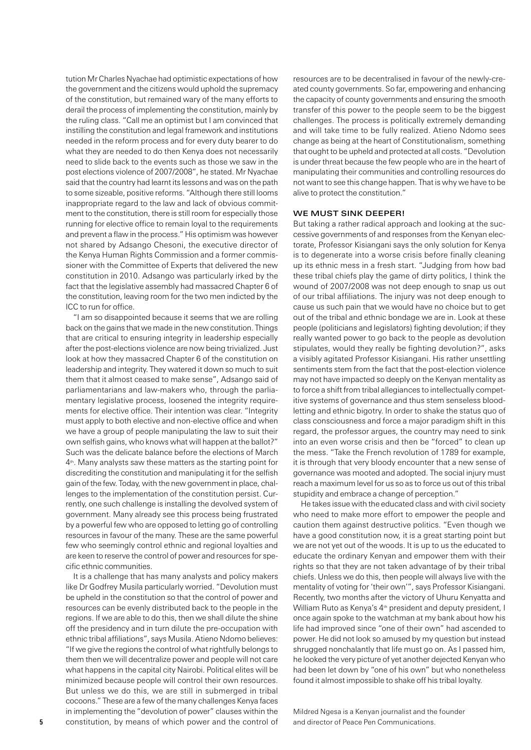tution Mr Charles Nyachae had optimistic expectations of how the government and the citizens would uphold the supremacy of the constitution, but remained wary of the many efforts to derail the process of implementing the constitution, mainly by the ruling class. "Call me an optimist but I am convinced that instilling the constitution and legal framework and institutions needed in the reform process and for every duty bearer to do what they are needed to do then Kenya does not necessarily need to slide back to the events such as those we saw in the post elections violence of 2007/2008", he stated. Mr Nyachae said that the country had learnt its lessons and was on the path to some sizeable, positive reforms. "Although there still looms inappropriate regard to the law and lack of obvious commitment to the constitution, there is still room for especially those running for elective office to remain loyal to the requirements and prevent a flaw in the process." His optimism was however not shared by Adsango Chesoni, the executive director of the Kenya Human Rights Commission and a former commissioner with the Committee of Experts that delivered the new constitution in 2010. Adsango was particularly irked by the fact that the legislative assembly had massacred Chapter 6 of the constitution, leaving room for the two men indicted by the ICC to run for office.

"I am so disappointed because it seems that we are rolling back on the gains that we made in the new constitution. Things that are critical to ensuring integrity in leadership especially after the post-elections violence are now being trivialized. Just look at how they massacred Chapter 6 of the constitution on leadership and integrity. They watered it down so much to suit them that it almost ceased to make sense", Adsango said of parliamentarians and law-makers who, through the parliamentary legislative process, loosened the integrity requirements for elective office. Their intention was clear. "Integrity must apply to both elective and non-elective office and when we have a group of people manipulating the law to suit their own selfish gains, who knows what will happen at the ballot?" Such was the delicate balance before the elections of March  $4<sup>th</sup>$ . Many analysts saw these matters as the starting point for discrediting the constitution and manipulating it for the selfish gain of the few. Today, with the new government in place, challenges to the implementation of the constitution persist. Currently, one such challenge is installing the devolved system of government. Many already see this process being frustrated by a powerful few who are opposed to letting go of controlling resources in favour of the many. These are the same powerful few who seemingly control ethnic and regional loyalties and are keen to reserve the control of power and resources for specific ethnic communities.

It is a challenge that has many analysts and policy makers like Dr Godfrey Musila particularly worried. "Devolution must be upheld in the constitution so that the control of power and resources can be evenly distributed back to the people in the regions. If we are able to do this, then we shall dilute the shine off the presidency and in turn dilute the pre-occupation with ethnic tribal affiliations", says Musila. Atieno Ndomo believes: "If we give the regions the control of what rightfully belongs to them then we will decentralize power and people will not care what happens in the capital city Nairobi. Political elites will be minimized because people will control their own resources. But unless we do this, we are still in submerged in tribal cocoons." These are a few of the many challenges Kenya faces in implementing the "devolution of power" clauses within the constitution, by means of which power and the control of

resources are to be decentralised in favour of the newly-created county governments. So far, empowering and enhancing the capacity of county governments and ensuring the smooth transfer of this power to the people seem to be the biggest challenges. The process is politically extremely demanding and will take time to be fully realized. Atieno Ndomo sees change as being at the heart of Constitutionalism, something that ought to be upheld and protected at all costs. "Devolution is under threat because the few people who are in the heart of manipulating their communities and controlling resources do not want to see this change happen. That is why we have to be alive to protect the constitution."

## WE MUST SINK DEEPER!

But taking a rather radical approach and looking at the successive governments of and responses from the Kenyan electorate, Professor Kisiangani says the only solution for Kenya is to degenerate into a worse crisis before finally cleaning up its ethnic mess in a fresh start. "Judging from how bad these tribal chiefs play the game of dirty politics, I think the wound of 2007/2008 was not deep enough to snap us out of our tribal affiliations. The injury was not deep enough to cause us such pain that we would have no choice but to get out of the tribal and ethnic bondage we are in. Look at these people (politicians and legislators) fighting devolution; if they really wanted power to go back to the people as devolution stipulates, would they really be fighting devolution?", asks a visibly agitated Professor Kisiangani. His rather unsettling sentiments stem from the fact that the post-election violence may not have impacted so deeply on the Kenyan mentality as to force a shift from tribal allegiances to intellectually competitive systems of governance and thus stem senseless bloodletting and ethnic bigotry. In order to shake the status quo of class consciousness and force a major paradigm shift in this regard, the professor argues, the country may need to sink into an even worse crisis and then be "forced" to clean up the mess. "Take the French revolution of 1789 for example, it is through that very bloody encounter that a new sense of governance was mooted and adopted. The social injury must reach a maximum level for us so as to force us out of this tribal stupidity and embrace a change of perception."

He takes issue with the educated class and with civil society who need to make more effort to empower the people and caution them against destructive politics. "Even though we have a good constitution now, it is a great starting point but we are not yet out of the woods. It is up to us the educated to educate the ordinary Kenyan and empower them with their rights so that they are not taken advantage of by their tribal chiefs. Unless we do this, then people will always live with the mentality of voting for 'their own'", says Professor Kisiangani. Recently, two months after the victory of Uhuru Kenyatta and William Ruto as Kenya's 4<sup>th</sup> president and deputy president, I once again spoke to the watchman at my bank about how his life had improved since "one of their own" had ascended to power. He did not look so amused by my question but instead shrugged nonchalantly that life must go on. As I passed him, he looked the very picture of yet another dejected Kenyan who had been let down by "one of his own" but who nonetheless found it almost impossible to shake off his tribal loyalty.

Mildred Ngesa is a Kenyan journalist and the founder and director of Peace Pen Communications.